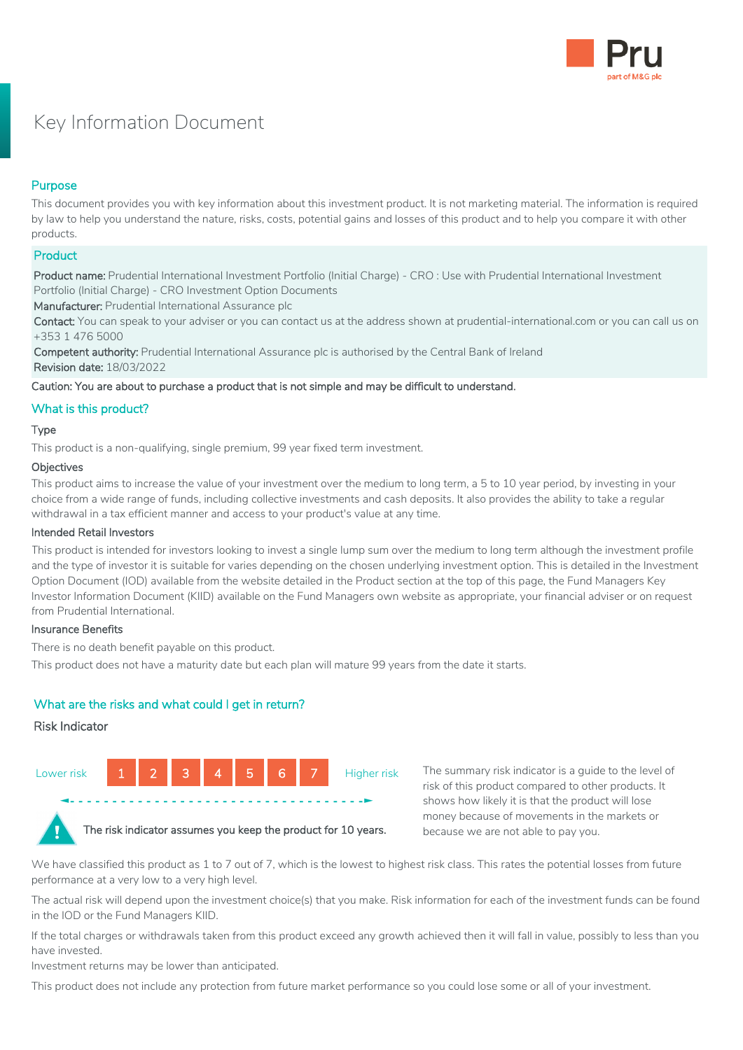

# Key Information Document

# Purpose

This document provides you with key information about this investment product. It is not marketing material. The information is required by law to help you understand the nature, risks, costs, potential gains and losses of this product and to help you compare it with other products.

# **Product**

Product name: Prudential International Investment Portfolio (Initial Charge) - CRO : Use with Prudential International Investment Portfolio (Initial Charge) - CRO Investment Option Documents

Manufacturer: Prudential International Assurance plc

Contact: You can speak to your adviser or you can contact us at the address shown at prudential-international.com or you can call us on +353 1 476 5000

Competent authority: Prudential International Assurance plc is authorised by the Central Bank of Ireland Revision date: 18/03/2022

Caution: You are about to purchase a product that is not simple and may be difficult to understand.

# What is this product?

# Type

This product is a non-qualifying, single premium, 99 year fixed term investment.

#### **Objectives**

This product aims to increase the value of your investment over the medium to long term, a 5 to 10 year period, by investing in your choice from a wide range of funds, including collective investments and cash deposits. It also provides the ability to take a regular withdrawal in a tax efficient manner and access to your product's value at any time.

# Intended Retail Investors

This product is intended for investors looking to invest a single lump sum over the medium to long term although the investment profile and the type of investor it is suitable for varies depending on the chosen underlying investment option. This is detailed in the Investment Option Document (IOD) available from the website detailed in the Product section at the top of this page, the Fund Managers Key Investor Information Document (KIID) available on the Fund Managers own website as appropriate, your financial adviser or on request from Prudential International.

# Insurance Benefits

There is no death benefit payable on this product.

This product does not have a maturity date but each plan will mature 99 years from the date it starts.

# What are the risks and what could I get in return?

# Risk Indicator



The summary risk indicator is a guide to the level of risk of this product compared to other products. It shows how likely it is that the product will lose money because of movements in the markets or because we are not able to pay you.

We have classified this product as 1 to 7 out of 7, which is the lowest to highest risk class. This rates the potential losses from future performance at a very low to a very high level.

The actual risk will depend upon the investment choice(s) that you make. Risk information for each of the investment funds can be found in the IOD or the Fund Managers KIID.

If the total charges or withdrawals taken from this product exceed any growth achieved then it will fall in value, possibly to less than you have invested.

Investment returns may be lower than anticipated.

This product does not include any protection from future market performance so you could lose some or all of your investment.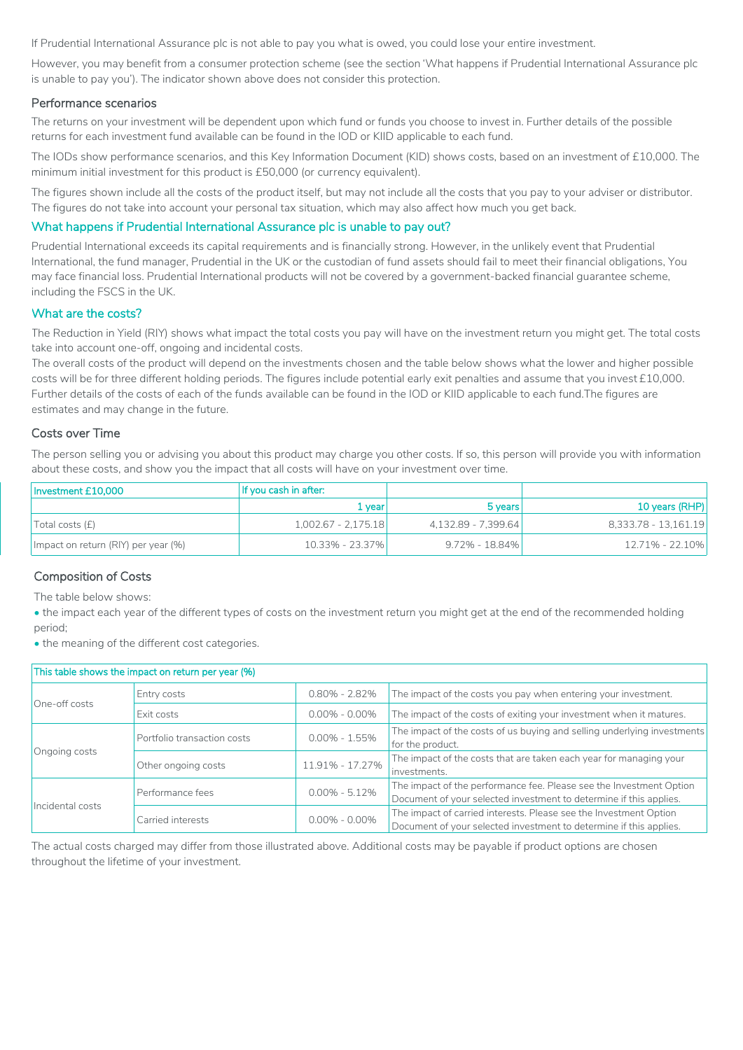If Prudential International Assurance plc is not able to pay you what is owed, you could lose your entire investment.

However, you may benefit from a consumer protection scheme (see the section 'What happens if Prudential International Assurance plc is unable to pay you'). The indicator shown above does not consider this protection.

#### Performance scenarios

The returns on your investment will be dependent upon which fund or funds you choose to invest in. Further details of the possible returns for each investment fund available can be found in the IOD or KIID applicable to each fund.

The IODs show performance scenarios, and this Key Information Document (KID) shows costs, based on an investment of £10,000. The minimum initial investment for this product is £50,000 (or currency equivalent).

The figures shown include all the costs of the product itself, but may not include all the costs that you pay to your adviser or distributor. The figures do not take into account your personal tax situation, which may also affect how much you get back.

# What happens if Prudential International Assurance plc is unable to pay out?

Prudential International exceeds its capital requirements and is financially strong. However, in the unlikely event that Prudential International, the fund manager, Prudential in the UK or the custodian of fund assets should fail to meet their financial obligations, You may face financial loss. Prudential International products will not be covered by a government-backed financial guarantee scheme, including the FSCS in the UK.

#### What are the costs?

The Reduction in Yield (RIY) shows what impact the total costs you pay will have on the investment return you might get. The total costs take into account one-off, ongoing and incidental costs.

The overall costs of the product will depend on the investments chosen and the table below shows what the lower and higher possible costs will be for three different holding periods. The figures include potential early exit penalties and assume that you invest £10,000. Further details of the costs of each of the funds available can be found in the IOD or KIID applicable to each fund.The figures are estimates and may change in the future.

#### Costs over Time

The person selling you or advising you about this product may charge you other costs. If so, this person will provide you with information about these costs, and show you the impact that all costs will have on your investment over time.

| Investment £10.000                  | If you cash in after: |                     |                      |
|-------------------------------------|-----------------------|---------------------|----------------------|
|                                     | 1 vearl               | 5 years             | 10 years (RHP)       |
| Total costs (f)                     | 1,002.67 - 2,175.18   | 4.132.89 - 7.399.64 | 8.333.78 - 13.161.19 |
| Impact on return (RIY) per year (%) | 10.33% - 23.37%       | $9.72\% - 18.84\%$  | 12.71% - 22.10%      |

# Composition of Costs

The table below shows:

• the impact each year of the different types of costs on the investment return you might get at the end of the recommended holding period;

• the meaning of the different cost categories.

| This table shows the impact on return per year (%) |                             |                   |                                                                                                                                           |  |  |
|----------------------------------------------------|-----------------------------|-------------------|-------------------------------------------------------------------------------------------------------------------------------------------|--|--|
| One-off costs                                      | Entry costs                 | $0.80\% - 2.82\%$ | The impact of the costs you pay when entering your investment.                                                                            |  |  |
|                                                    | Exit costs                  | $0.00\% - 0.00\%$ | The impact of the costs of exiting your investment when it matures.                                                                       |  |  |
| Ongoing costs                                      | Portfolio transaction costs | $0.00\% - 1.55\%$ | The impact of the costs of us buying and selling underlying investments<br>for the product.                                               |  |  |
|                                                    | Other ongoing costs         | 11.91% - 17.27%   | The impact of the costs that are taken each year for managing your<br>investments.                                                        |  |  |
| Incidental costs                                   | Performance fees            | $0.00\% - 5.12\%$ | The impact of the performance fee. Please see the Investment Option<br>Document of your selected investment to determine if this applies. |  |  |
|                                                    | Carried interests           | $0.00\% - 0.00\%$ | The impact of carried interests. Please see the Investment Option<br>Document of your selected investment to determine if this applies.   |  |  |

The actual costs charged may differ from those illustrated above. Additional costs may be payable if product options are chosen throughout the lifetime of your investment.